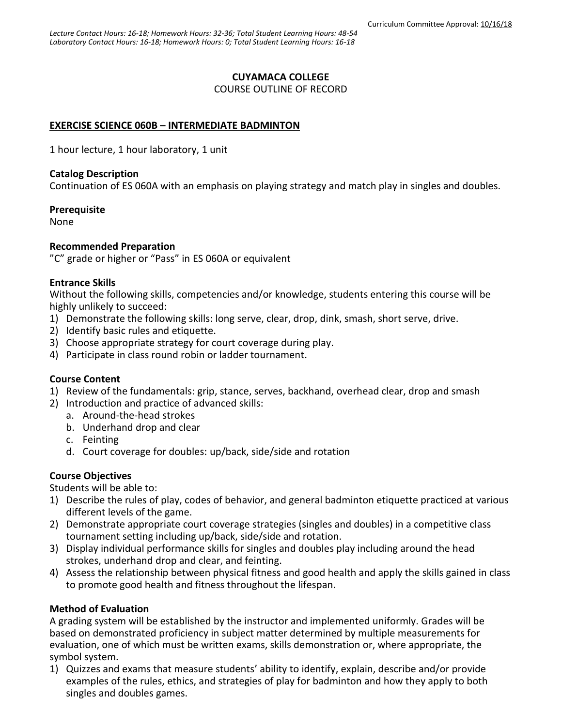# **CUYAMACA COLLEGE**

COURSE OUTLINE OF RECORD

# **EXERCISE SCIENCE 060B – INTERMEDIATE BADMINTON**

1 hour lecture, 1 hour laboratory, 1 unit

### **Catalog Description**

Continuation of ES 060A with an emphasis on playing strategy and match play in singles and doubles.

### **Prerequisite**

None

## **Recommended Preparation**

"C" grade or higher or "Pass" in ES 060A or equivalent

## **Entrance Skills**

Without the following skills, competencies and/or knowledge, students entering this course will be highly unlikely to succeed:

- 1) Demonstrate the following skills: long serve, clear, drop, dink, smash, short serve, drive.
- 2) Identify basic rules and etiquette.
- 3) Choose appropriate strategy for court coverage during play.
- 4) Participate in class round robin or ladder tournament.

# **Course Content**

- 1) Review of the fundamentals: grip, stance, serves, backhand, overhead clear, drop and smash
- 2) Introduction and practice of advanced skills:
	- a. Around-the-head strokes
	- b. Underhand drop and clear
	- c. Feinting
	- d. Court coverage for doubles: up/back, side/side and rotation

# **Course Objectives**

Students will be able to:

- 1) Describe the rules of play, codes of behavior, and general badminton etiquette practiced at various different levels of the game.
- 2) Demonstrate appropriate court coverage strategies (singles and doubles) in a competitive class tournament setting including up/back, side/side and rotation.
- 3) Display individual performance skills for singles and doubles play including around the head strokes, underhand drop and clear, and feinting.
- 4) Assess the relationship between physical fitness and good health and apply the skills gained in class to promote good health and fitness throughout the lifespan.

# **Method of Evaluation**

A grading system will be established by the instructor and implemented uniformly. Grades will be based on demonstrated proficiency in subject matter determined by multiple measurements for evaluation, one of which must be written exams, skills demonstration or, where appropriate, the symbol system.

1) Quizzes and exams that measure students' ability to identify, explain, describe and/or provide examples of the rules, ethics, and strategies of play for badminton and how they apply to both singles and doubles games.